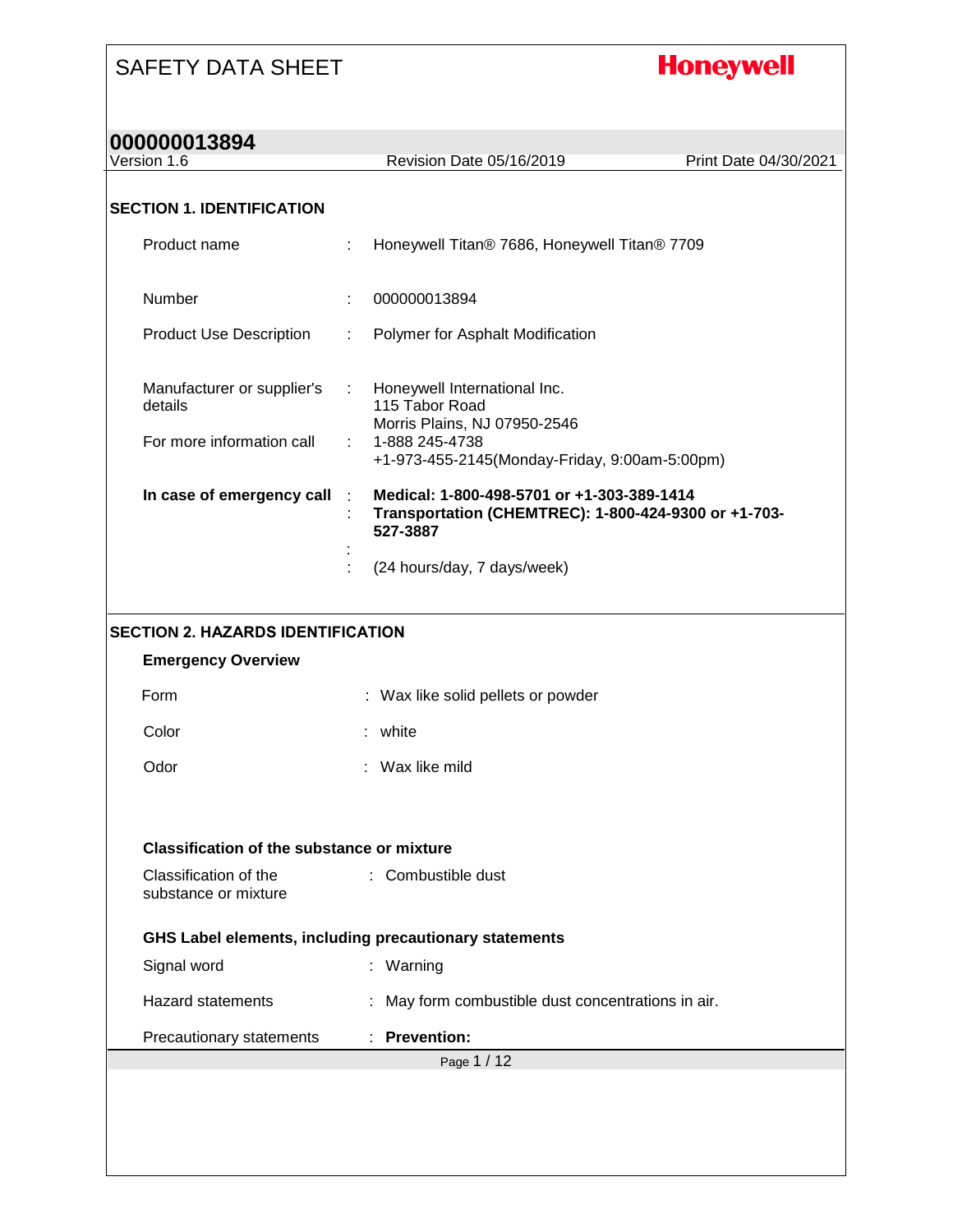# **Honeywell**

| 000000013894                                      |                                                                                                                |                       |
|---------------------------------------------------|----------------------------------------------------------------------------------------------------------------|-----------------------|
| Version 1.6                                       | Revision Date 05/16/2019                                                                                       | Print Date 04/30/2021 |
| <b>SECTION 1. IDENTIFICATION</b>                  |                                                                                                                |                       |
| Product name                                      | Honeywell Titan® 7686, Honeywell Titan® 7709                                                                   |                       |
| Number                                            | 000000013894                                                                                                   |                       |
| <b>Product Use Description</b>                    | Polymer for Asphalt Modification<br>÷.                                                                         |                       |
| Manufacturer or supplier's<br>details             | Honeywell International Inc.<br>$\mathbb{Z}^{n-1}$<br>115 Tabor Road<br>Morris Plains, NJ 07950-2546           |                       |
| For more information call                         | 1-888 245-4738<br>+1-973-455-2145(Monday-Friday, 9:00am-5:00pm)                                                |                       |
| In case of emergency call                         | Medical: 1-800-498-5701 or +1-303-389-1414<br>Transportation (CHEMTREC): 1-800-424-9300 or +1-703-<br>527-3887 |                       |
|                                                   | (24 hours/day, 7 days/week)                                                                                    |                       |
| <b>SECTION 2. HAZARDS IDENTIFICATION</b>          |                                                                                                                |                       |
| <b>Emergency Overview</b>                         |                                                                                                                |                       |
| Form                                              | Wax like solid pellets or powder                                                                               |                       |
| Color                                             | white                                                                                                          |                       |
| Odor                                              | Wax like mild                                                                                                  |                       |
| <b>Classification of the substance or mixture</b> |                                                                                                                |                       |
| Classification of the<br>substance or mixture     | : Combustible dust                                                                                             |                       |
|                                                   | GHS Label elements, including precautionary statements                                                         |                       |
| Signal word                                       | : Warning                                                                                                      |                       |
| <b>Hazard statements</b>                          | : May form combustible dust concentrations in air.                                                             |                       |
| Precautionary statements                          | : Prevention:                                                                                                  |                       |
|                                                   | Page 1 / 12                                                                                                    |                       |
|                                                   |                                                                                                                |                       |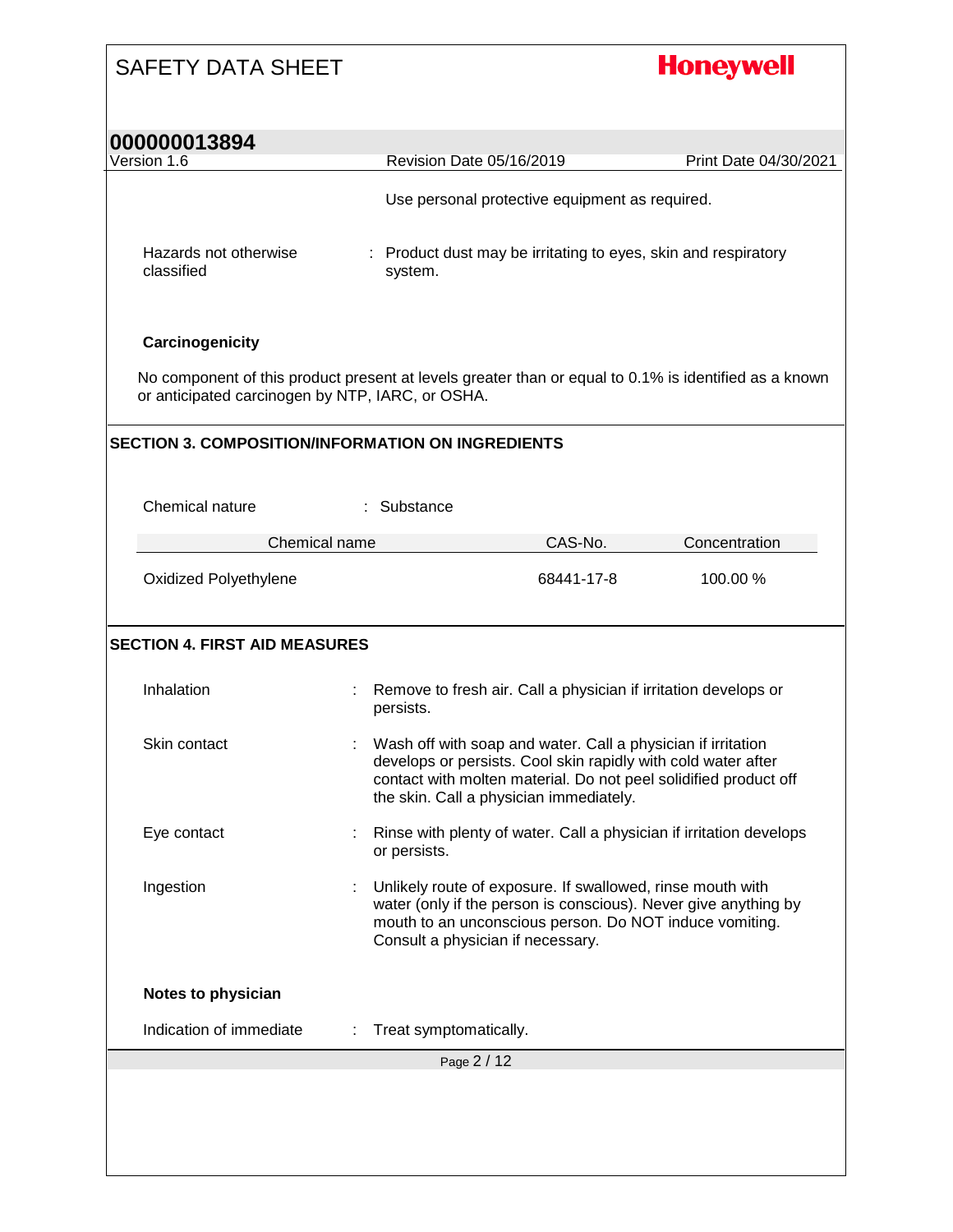# **Honeywell**

| UUUUUUU 1 JOY4<br>Version 1.6                      |   | Revision Date 05/16/2019                                                                                                                                                                                                                     | Print Date 04/30/2021 |
|----------------------------------------------------|---|----------------------------------------------------------------------------------------------------------------------------------------------------------------------------------------------------------------------------------------------|-----------------------|
|                                                    |   | Use personal protective equipment as required.                                                                                                                                                                                               |                       |
|                                                    |   |                                                                                                                                                                                                                                              |                       |
| Hazards not otherwise<br>classified                |   | : Product dust may be irritating to eyes, skin and respiratory<br>system.                                                                                                                                                                    |                       |
| Carcinogenicity                                    |   |                                                                                                                                                                                                                                              |                       |
| or anticipated carcinogen by NTP, IARC, or OSHA.   |   | No component of this product present at levels greater than or equal to 0.1% is identified as a known                                                                                                                                        |                       |
|                                                    |   | <b>SECTION 3. COMPOSITION/INFORMATION ON INGREDIENTS</b>                                                                                                                                                                                     |                       |
|                                                    |   |                                                                                                                                                                                                                                              |                       |
| Chemical nature                                    |   | : Substance                                                                                                                                                                                                                                  |                       |
| Chemical name                                      |   | CAS-No.                                                                                                                                                                                                                                      | Concentration         |
| Oxidized Polyethylene                              |   | 68441-17-8                                                                                                                                                                                                                                   | 100.00 %              |
| <b>SECTION 4. FIRST AID MEASURES</b><br>Inhalation |   | Remove to fresh air. Call a physician if irritation develops or<br>persists.                                                                                                                                                                 |                       |
| Skin contact                                       |   | Wash off with soap and water. Call a physician if irritation<br>develops or persists. Cool skin rapidly with cold water after<br>contact with molten material. Do not peel solidified product off<br>the skin. Call a physician immediately. |                       |
| Eye contact                                        |   | Rinse with plenty of water. Call a physician if irritation develops<br>or persists.                                                                                                                                                          |                       |
| Ingestion                                          |   | Unlikely route of exposure. If swallowed, rinse mouth with<br>water (only if the person is conscious). Never give anything by<br>mouth to an unconscious person. Do NOT induce vomiting.<br>Consult a physician if necessary.                |                       |
|                                                    |   |                                                                                                                                                                                                                                              |                       |
| Notes to physician                                 |   |                                                                                                                                                                                                                                              |                       |
| Indication of immediate                            | ÷ | Treat symptomatically.                                                                                                                                                                                                                       |                       |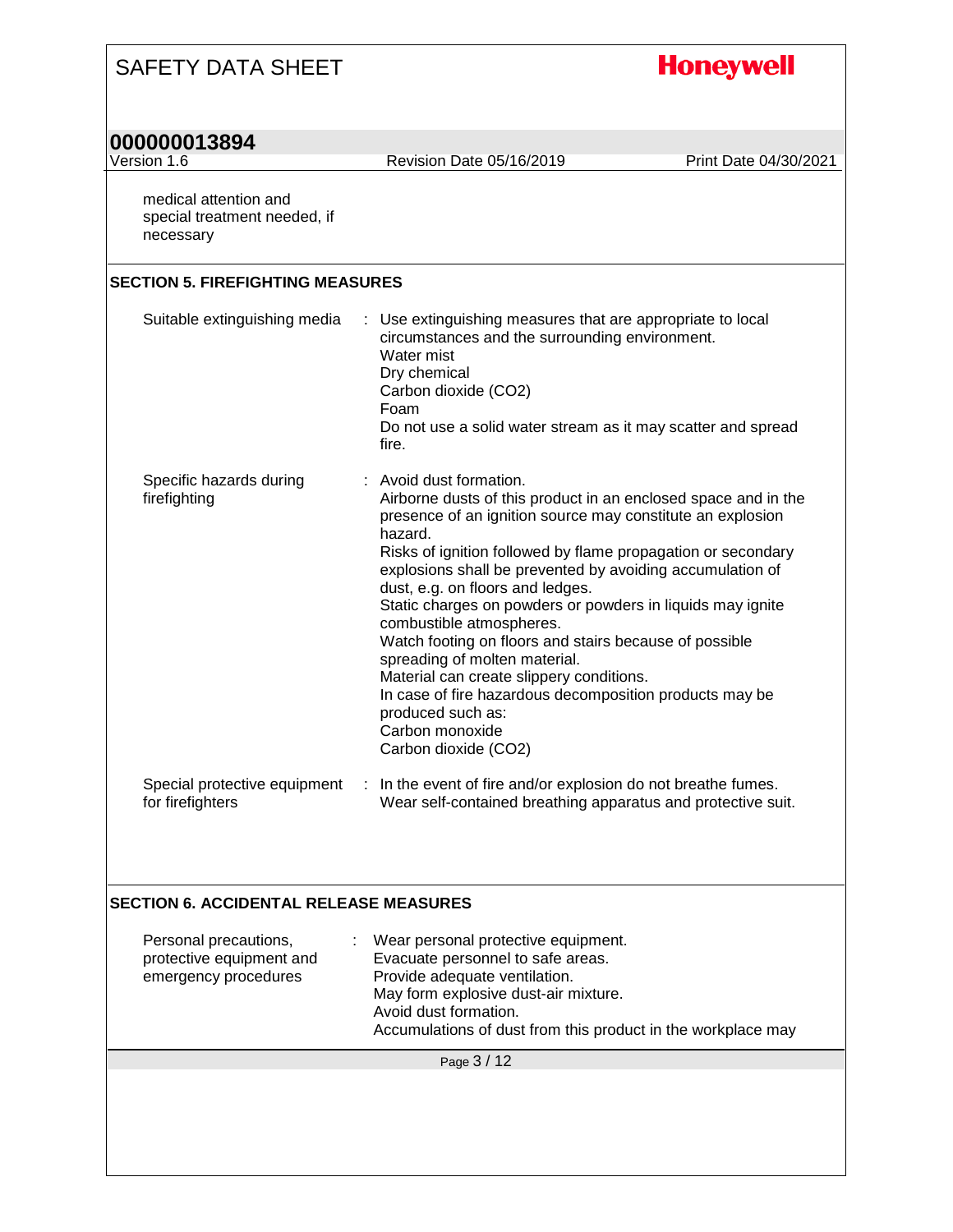| <b>SAFETY DATA SHEET</b>                                                  |                                                                                                                                                                                                                                                                                                                                                                                                                                                                                                                                                                                                                                                                                                 | <b>Honeywell</b>      |
|---------------------------------------------------------------------------|-------------------------------------------------------------------------------------------------------------------------------------------------------------------------------------------------------------------------------------------------------------------------------------------------------------------------------------------------------------------------------------------------------------------------------------------------------------------------------------------------------------------------------------------------------------------------------------------------------------------------------------------------------------------------------------------------|-----------------------|
| 000000013894<br>Version 1.6                                               | Revision Date 05/16/2019                                                                                                                                                                                                                                                                                                                                                                                                                                                                                                                                                                                                                                                                        | Print Date 04/30/2021 |
| medical attention and<br>special treatment needed, if<br>necessary        |                                                                                                                                                                                                                                                                                                                                                                                                                                                                                                                                                                                                                                                                                                 |                       |
| <b>SECTION 5. FIREFIGHTING MEASURES</b>                                   |                                                                                                                                                                                                                                                                                                                                                                                                                                                                                                                                                                                                                                                                                                 |                       |
| Suitable extinguishing media                                              | : Use extinguishing measures that are appropriate to local<br>circumstances and the surrounding environment.<br>Water mist<br>Dry chemical<br>Carbon dioxide (CO2)<br>Foam<br>Do not use a solid water stream as it may scatter and spread<br>fire.                                                                                                                                                                                                                                                                                                                                                                                                                                             |                       |
| Specific hazards during<br>firefighting                                   | : Avoid dust formation.<br>Airborne dusts of this product in an enclosed space and in the<br>presence of an ignition source may constitute an explosion<br>hazard.<br>Risks of ignition followed by flame propagation or secondary<br>explosions shall be prevented by avoiding accumulation of<br>dust, e.g. on floors and ledges.<br>Static charges on powders or powders in liquids may ignite<br>combustible atmospheres.<br>Watch footing on floors and stairs because of possible<br>spreading of molten material.<br>Material can create slippery conditions.<br>In case of fire hazardous decomposition products may be<br>produced such as:<br>Carbon monoxide<br>Carbon dioxide (CO2) |                       |
| Special protective equipment<br>for firefighters                          | : In the event of fire and/or explosion do not breathe fumes.<br>Wear self-contained breathing apparatus and protective suit.                                                                                                                                                                                                                                                                                                                                                                                                                                                                                                                                                                   |                       |
| <b>SECTION 6. ACCIDENTAL RELEASE MEASURES</b>                             |                                                                                                                                                                                                                                                                                                                                                                                                                                                                                                                                                                                                                                                                                                 |                       |
| Personal precautions,<br>protective equipment and<br>emergency procedures | Wear personal protective equipment.<br>Evacuate personnel to safe areas.<br>Provide adequate ventilation.<br>May form explosive dust-air mixture.<br>Avoid dust formation.<br>Accumulations of dust from this product in the workplace may                                                                                                                                                                                                                                                                                                                                                                                                                                                      |                       |
|                                                                           | Page 3 / 12                                                                                                                                                                                                                                                                                                                                                                                                                                                                                                                                                                                                                                                                                     |                       |
|                                                                           |                                                                                                                                                                                                                                                                                                                                                                                                                                                                                                                                                                                                                                                                                                 |                       |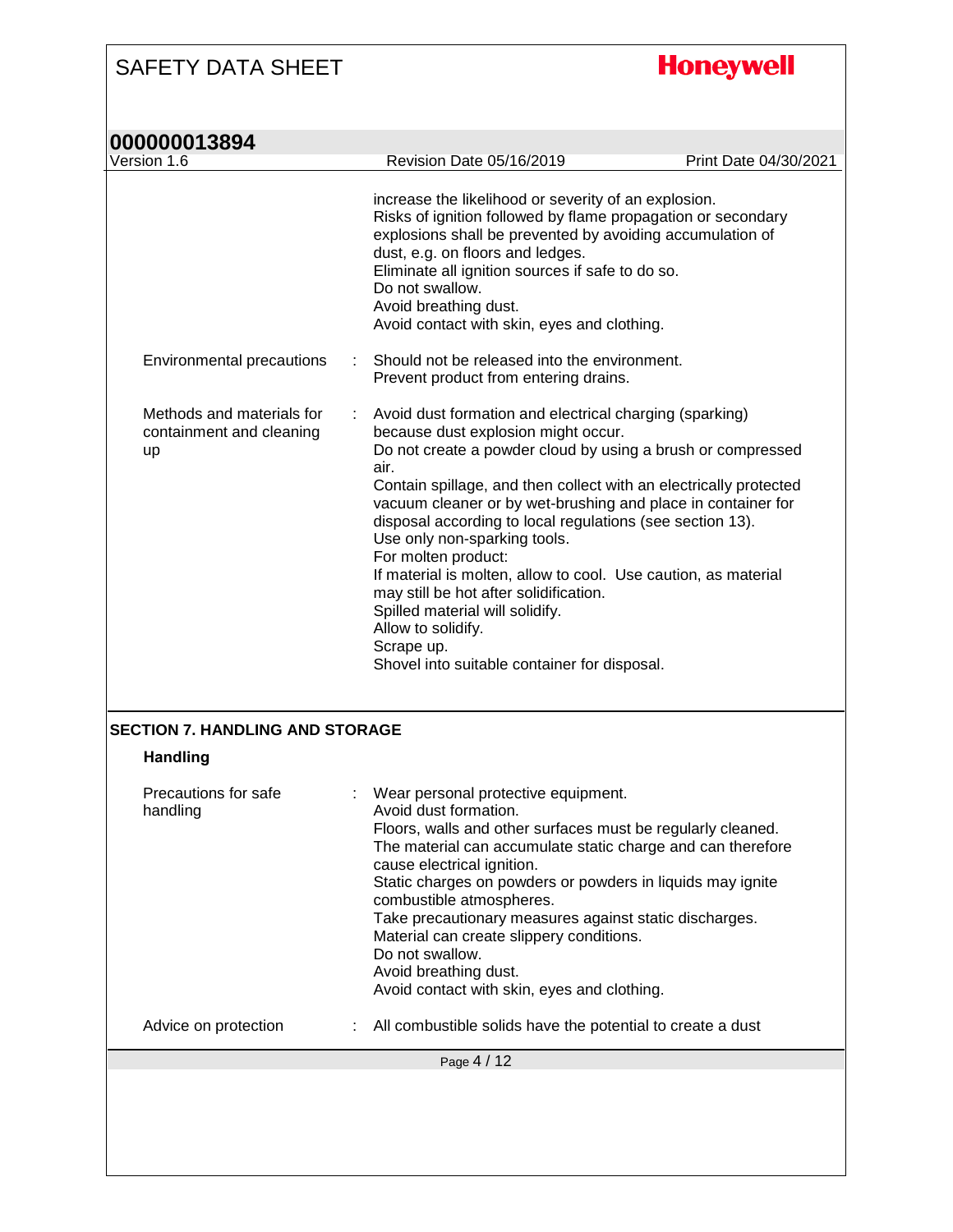**Honeywell** 

| Version 1.6                                                 |    | Revision Date 05/16/2019<br>Print Date 04/30/2021                                                                                                                                                                                                                                                                                                                                                                                                                                                                                                                             |  |
|-------------------------------------------------------------|----|-------------------------------------------------------------------------------------------------------------------------------------------------------------------------------------------------------------------------------------------------------------------------------------------------------------------------------------------------------------------------------------------------------------------------------------------------------------------------------------------------------------------------------------------------------------------------------|--|
|                                                             |    | increase the likelihood or severity of an explosion.<br>Risks of ignition followed by flame propagation or secondary<br>explosions shall be prevented by avoiding accumulation of<br>dust, e.g. on floors and ledges.<br>Eliminate all ignition sources if safe to do so.<br>Do not swallow.<br>Avoid breathing dust.<br>Avoid contact with skin, eyes and clothing.                                                                                                                                                                                                          |  |
| Environmental precautions                                   |    | Should not be released into the environment.<br>Prevent product from entering drains.                                                                                                                                                                                                                                                                                                                                                                                                                                                                                         |  |
| Methods and materials for<br>containment and cleaning<br>up | ÷. | Avoid dust formation and electrical charging (sparking)<br>because dust explosion might occur.<br>Do not create a powder cloud by using a brush or compressed<br>air.<br>Contain spillage, and then collect with an electrically protected<br>vacuum cleaner or by wet-brushing and place in container for<br>disposal according to local regulations (see section 13).<br>Use only non-sparking tools.<br>For molten product:<br>If material is molten, allow to cool. Use caution, as material<br>may still be hot after solidification.<br>Spilled material will solidify. |  |
|                                                             |    | Allow to solidify.<br>Scrape up.<br>Shovel into suitable container for disposal.                                                                                                                                                                                                                                                                                                                                                                                                                                                                                              |  |
| <b>SECTION 7. HANDLING AND STORAGE</b><br><b>Handling</b>   |    |                                                                                                                                                                                                                                                                                                                                                                                                                                                                                                                                                                               |  |
| Precautions for safe<br>handling                            |    | Wear personal protective equipment.<br>Avoid dust formation.<br>Floors, walls and other surfaces must be regularly cleaned.<br>The material can accumulate static charge and can therefore<br>cause electrical ignition.<br>Static charges on powders or powders in liquids may ignite<br>combustible atmospheres.<br>Take precautionary measures against static discharges.<br>Material can create slippery conditions.<br>Do not swallow.<br>Avoid breathing dust.<br>Avoid contact with skin, eyes and clothing.                                                           |  |
| Advice on protection                                        |    | All combustible solids have the potential to create a dust                                                                                                                                                                                                                                                                                                                                                                                                                                                                                                                    |  |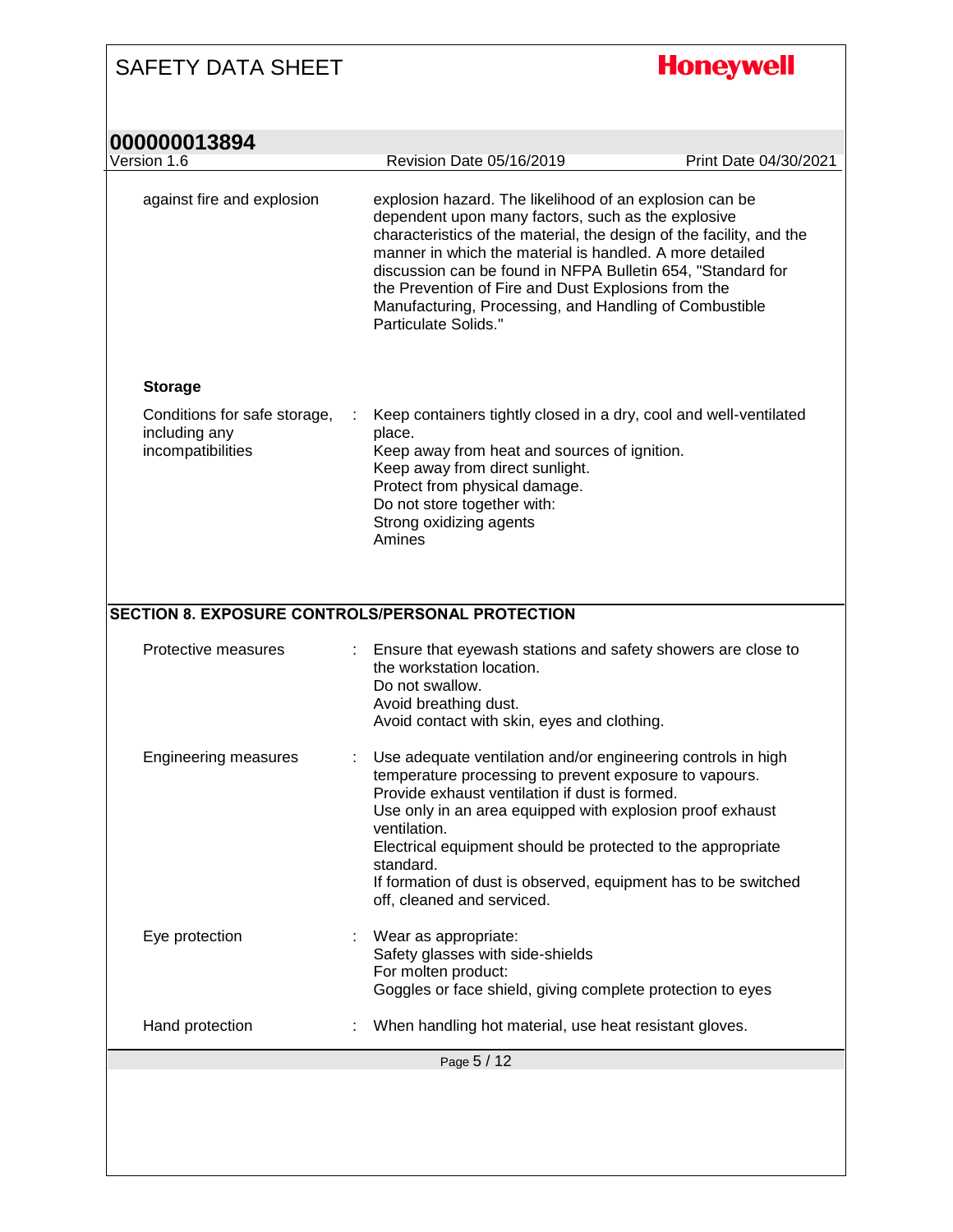**Honeywell** 

| 000000013894                                                       |                                                                                                                                                                                                                                                                                                                                                                                                                                                           |                       |
|--------------------------------------------------------------------|-----------------------------------------------------------------------------------------------------------------------------------------------------------------------------------------------------------------------------------------------------------------------------------------------------------------------------------------------------------------------------------------------------------------------------------------------------------|-----------------------|
| Version 1.6                                                        | Revision Date 05/16/2019                                                                                                                                                                                                                                                                                                                                                                                                                                  | Print Date 04/30/2021 |
| against fire and explosion                                         | explosion hazard. The likelihood of an explosion can be<br>dependent upon many factors, such as the explosive<br>characteristics of the material, the design of the facility, and the<br>manner in which the material is handled. A more detailed<br>discussion can be found in NFPA Bulletin 654, "Standard for<br>the Prevention of Fire and Dust Explosions from the<br>Manufacturing, Processing, and Handling of Combustible<br>Particulate Solids." |                       |
| <b>Storage</b>                                                     |                                                                                                                                                                                                                                                                                                                                                                                                                                                           |                       |
| Conditions for safe storage,<br>including any<br>incompatibilities | Keep containers tightly closed in a dry, cool and well-ventilated<br>place.<br>Keep away from heat and sources of ignition.<br>Keep away from direct sunlight.<br>Protect from physical damage.<br>Do not store together with:<br>Strong oxidizing agents<br>Amines                                                                                                                                                                                       |                       |
| <b>SECTION 8. EXPOSURE CONTROLS/PERSONAL PROTECTION</b>            |                                                                                                                                                                                                                                                                                                                                                                                                                                                           |                       |
| Protective measures                                                | Ensure that eyewash stations and safety showers are close to<br>the workstation location.<br>Do not swallow.<br>Avoid breathing dust.<br>Avoid contact with skin, eyes and clothing.                                                                                                                                                                                                                                                                      |                       |
| <b>Engineering measures</b>                                        | Use adequate ventilation and/or engineering controls in high<br>temperature processing to prevent exposure to vapours.<br>Provide exhaust ventilation if dust is formed.<br>Use only in an area equipped with explosion proof exhaust<br>ventilation.<br>Electrical equipment should be protected to the appropriate<br>standard.<br>If formation of dust is observed, equipment has to be switched<br>off, cleaned and serviced.                         |                       |
| Eye protection                                                     | Wear as appropriate:<br>Safety glasses with side-shields<br>For molten product:<br>Goggles or face shield, giving complete protection to eyes                                                                                                                                                                                                                                                                                                             |                       |
| Hand protection                                                    | When handling hot material, use heat resistant gloves.                                                                                                                                                                                                                                                                                                                                                                                                    |                       |
|                                                                    | Page 5 / 12                                                                                                                                                                                                                                                                                                                                                                                                                                               |                       |
|                                                                    |                                                                                                                                                                                                                                                                                                                                                                                                                                                           |                       |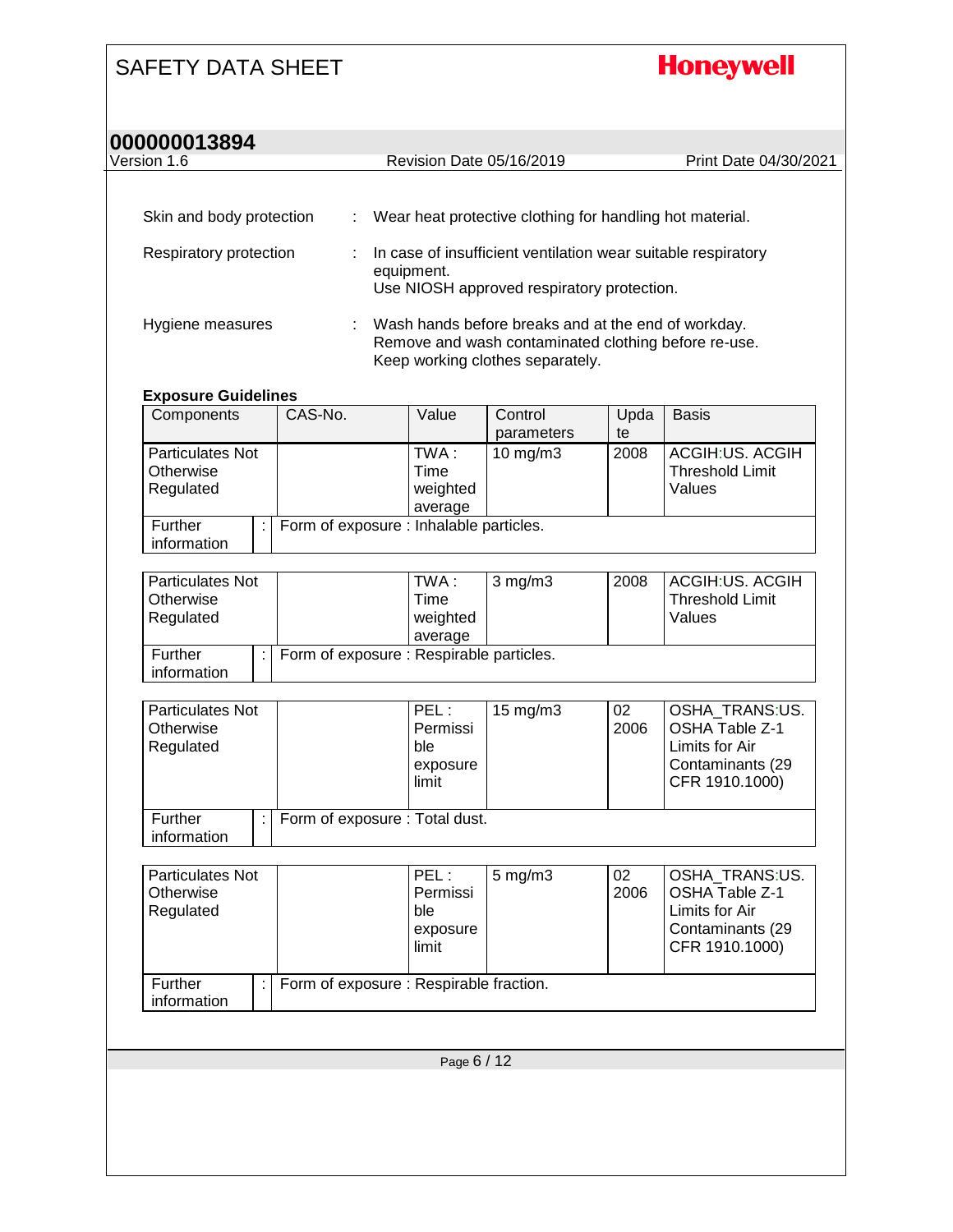## **Honeywell**

#### **000000013894** Version 1.6 Revision Date 05/16/2019 Print Date 04/30/2021

| Version 1.6 |  |
|-------------|--|

| Skin and body protection | A. | Wear heat protective clothing for handling hot material.                                                                                        |
|--------------------------|----|-------------------------------------------------------------------------------------------------------------------------------------------------|
| Respiratory protection   |    | In case of insufficient ventilation wear suitable respiratory<br>equipment.<br>Use NIOSH approved respiratory protection.                       |
| Hygiene measures         |    | Wash hands before breaks and at the end of workday.<br>Remove and wash contaminated clothing before re-use.<br>Keep working clothes separately. |

#### **Exposure Guidelines**

| Components              | CAS-No.                                 | Value    | Control             | Upda | <b>Basis</b>           |
|-------------------------|-----------------------------------------|----------|---------------------|------|------------------------|
|                         |                                         |          | parameters          | te   |                        |
| <b>Particulates Not</b> |                                         | TWA :    | $10 \text{ mg/m}$ 3 | 2008 | ACGIH:US. ACGIH        |
| Otherwise               |                                         | Time     |                     |      | <b>Threshold Limit</b> |
| Regulated               |                                         | weighted |                     |      | Values                 |
|                         |                                         | average  |                     |      |                        |
| Further                 | Form of exposure : Inhalable particles. |          |                     |      |                        |
| information             |                                         |          |                     |      |                        |

| <b>Particulates Not</b><br>Otherwise<br>Regulated |                                          | TWA :<br>Time<br>weighted<br>average | $3 \text{ mg/m}$ | 2008 | ACGIH:US. ACGIH<br><b>Threshold Limit</b><br>Values |
|---------------------------------------------------|------------------------------------------|--------------------------------------|------------------|------|-----------------------------------------------------|
| Further<br>information                            | Form of exposure : Respirable particles. |                                      |                  |      |                                                     |

| <b>Particulates Not</b><br>Otherwise<br>Regulated |                               | PEL :<br>Permissi<br>ble<br>exposure<br>limit | $15 \text{ mg/m}$ | 02<br>2006 | OSHA TRANS:US.<br>OSHA Table Z-1<br>Limits for Air<br>Contaminants (29<br>CFR 1910.1000) |
|---------------------------------------------------|-------------------------------|-----------------------------------------------|-------------------|------------|------------------------------------------------------------------------------------------|
| Further<br>information                            | Form of exposure: Total dust. |                                               |                   |            |                                                                                          |

| <b>Particulates Not</b><br>Otherwise<br>Regulated |                                         | PEL :<br>Permissi<br>ble<br>exposure<br>limit | $5 \text{ mg/m}$ 3 | 02<br>2006 | OSHA TRANS:US.<br><b>OSHA Table Z-1</b><br>Limits for Air<br>Contaminants (29<br>CFR 1910.1000) |
|---------------------------------------------------|-----------------------------------------|-----------------------------------------------|--------------------|------------|-------------------------------------------------------------------------------------------------|
| Further<br>information                            | Form of exposure : Respirable fraction. |                                               |                    |            |                                                                                                 |

Page 6 / 12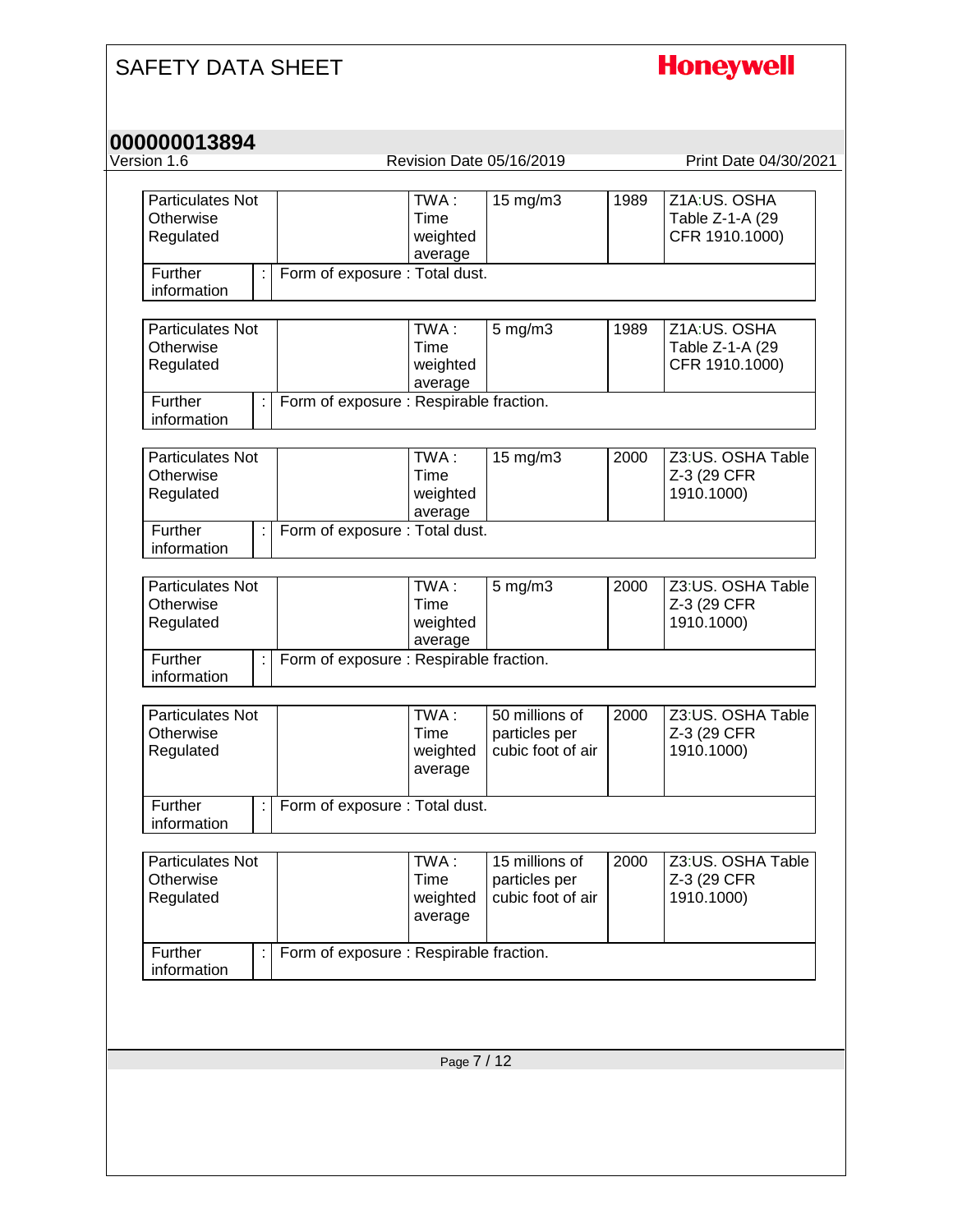# **Honeywell**

| Version 1.6                                       |                                            | Revision Date 05/16/2019                             |      | Print Date 04/30/2021                             |
|---------------------------------------------------|--------------------------------------------|------------------------------------------------------|------|---------------------------------------------------|
| <b>Particulates Not</b><br>Otherwise<br>Regulated | TWA:<br>Time<br>weighted<br>average        | 15 mg/m3                                             | 1989 | Z1A:US. OSHA<br>Table Z-1-A (29<br>CFR 1910.1000) |
| Further<br>information                            | Form of exposure : Total dust.             |                                                      |      |                                                   |
| <b>Particulates Not</b><br>Otherwise<br>Regulated | TWA:<br>Time<br>weighted<br>average        | $5$ mg/m $3$                                         | 1989 | Z1A:US. OSHA<br>Table Z-1-A (29<br>CFR 1910.1000) |
| Further<br>information                            | Form of exposure : Respirable fraction.    |                                                      |      |                                                   |
| <b>Particulates Not</b><br>Otherwise<br>Regulated | TWA:<br>Time<br>weighted<br>average        | 15 mg/m3                                             | 2000 | Z3:US. OSHA Table<br>Z-3 (29 CFR<br>1910.1000)    |
| Further<br>information                            | Form of exposure : Total dust.             |                                                      |      |                                                   |
| <b>Particulates Not</b><br>Otherwise<br>Regulated | TWA:<br><b>Time</b><br>weighted<br>average | $5$ mg/m $3$                                         | 2000 | Z3:US. OSHA Table<br>Z-3 (29 CFR<br>1910.1000)    |
| Further<br>information                            | Form of exposure : Respirable fraction.    |                                                      |      |                                                   |
| <b>Particulates Not</b><br>Otherwise<br>Regulated | TWA:<br>Time<br>weighted<br>average        | 50 millions of<br>particles per<br>cubic foot of air | 2000 | Z3:US. OSHA Table<br>Z-3 (29 CFR<br>1910.1000)    |
| Further<br>information                            | Form of exposure : Total dust.             |                                                      |      |                                                   |
| Particulates Not<br>Otherwise<br>Regulated        | TWA:<br>Time<br>weighted<br>average        | 15 millions of<br>particles per<br>cubic foot of air | 2000 | Z3:US. OSHA Table<br>Z-3 (29 CFR<br>1910.1000)    |
| Further<br>information                            | Form of exposure : Respirable fraction.    |                                                      |      |                                                   |
|                                                   |                                            |                                                      |      |                                                   |
|                                                   |                                            |                                                      |      |                                                   |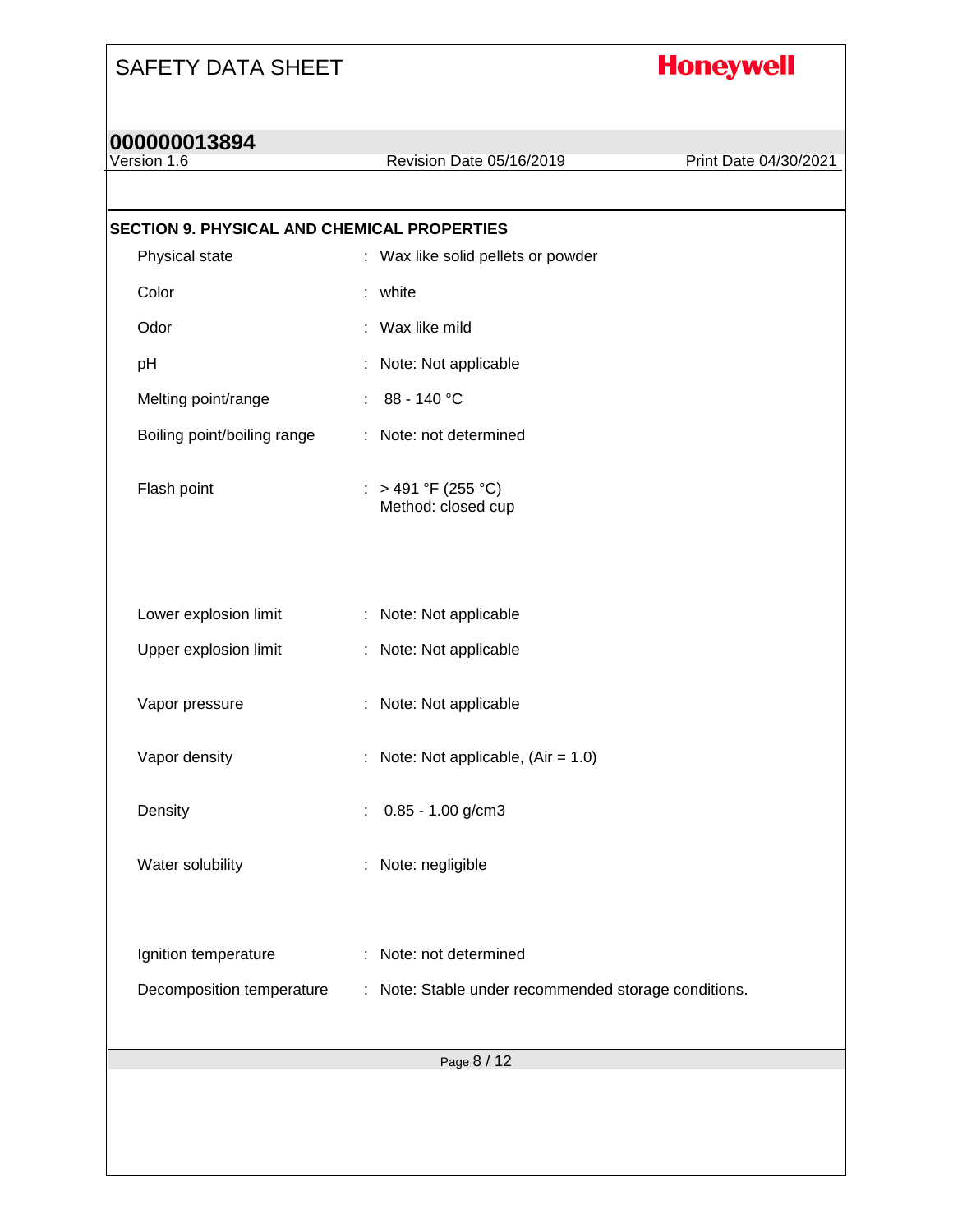# **Honeywell**

# **000000013894**

Revision Date 05/16/2019 Print Date 04/30/2021

| SECTION 9. PHYSICAL AND CHEMICAL PROPERTIES |                                                      |
|---------------------------------------------|------------------------------------------------------|
| Physical state                              | : Wax like solid pellets or powder                   |
| Color                                       | : white                                              |
| Odor                                        | : Wax like mild                                      |
| pH                                          | Note: Not applicable                                 |
| Melting point/range                         | : $88 - 140 °C$                                      |
| Boiling point/boiling range                 | : Note: not determined                               |
| Flash point                                 | : > 491 °F (255 °C)<br>Method: closed cup            |
|                                             |                                                      |
| Lower explosion limit                       | : Note: Not applicable                               |
| Upper explosion limit                       | : Note: Not applicable                               |
| Vapor pressure                              | : Note: Not applicable                               |
| Vapor density                               | : Note: Not applicable, $(Air = 1.0)$                |
| Density                                     | $0.85 - 1.00$ g/cm3                                  |
| Water solubility                            | : Note: negligible                                   |
| Ignition temperature                        | : Note: not determined                               |
| Decomposition temperature                   | : Note: Stable under recommended storage conditions. |
|                                             |                                                      |
|                                             | Page 8 / 12                                          |
|                                             |                                                      |
|                                             |                                                      |
|                                             |                                                      |
|                                             |                                                      |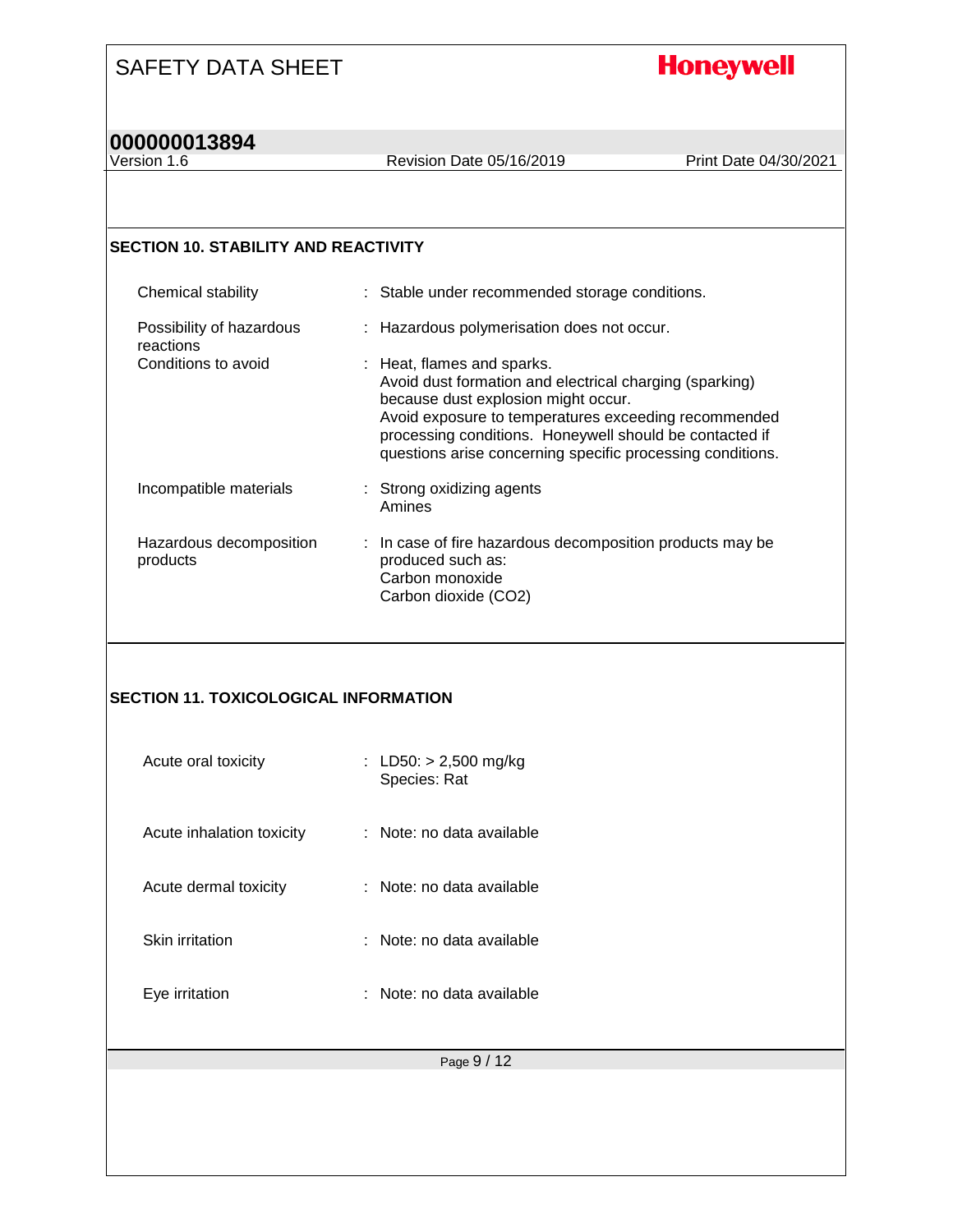## **Honeywell**

# **000000013894**

Revision Date 05/16/2019 Print Date 04/30/2021

#### **SECTION 10. STABILITY AND REACTIVITY**

| Chemical stability                    | : Stable under recommended storage conditions.                                                                                                                                                                                                                                                                |
|---------------------------------------|---------------------------------------------------------------------------------------------------------------------------------------------------------------------------------------------------------------------------------------------------------------------------------------------------------------|
| Possibility of hazardous<br>reactions | : Hazardous polymerisation does not occur.                                                                                                                                                                                                                                                                    |
| Conditions to avoid                   | : Heat, flames and sparks.<br>Avoid dust formation and electrical charging (sparking)<br>because dust explosion might occur.<br>Avoid exposure to temperatures exceeding recommended<br>processing conditions. Honeywell should be contacted if<br>questions arise concerning specific processing conditions. |
| Incompatible materials                | : Strong oxidizing agents<br>Amines                                                                                                                                                                                                                                                                           |
| Hazardous decomposition<br>products   | : In case of fire hazardous decomposition products may be<br>produced such as:<br>Carbon monoxide<br>Carbon dioxide (CO2)                                                                                                                                                                                     |

#### **SECTION 11. TOXICOLOGICAL INFORMATION**

| ∶ Note: no data available.<br>Acute inhalation toxicity<br>: Note: no data available<br>Acute dermal toxicity<br>Skin irritation<br>∶ Note: no data available<br>: Note: no data available<br>Eye irritation | Acute oral toxicity | : LD50: $>$ 2,500 mg/kg<br>Species: Rat |
|--------------------------------------------------------------------------------------------------------------------------------------------------------------------------------------------------------------|---------------------|-----------------------------------------|
|                                                                                                                                                                                                              |                     |                                         |
|                                                                                                                                                                                                              |                     |                                         |
|                                                                                                                                                                                                              |                     |                                         |
|                                                                                                                                                                                                              |                     |                                         |

Page 9 / 12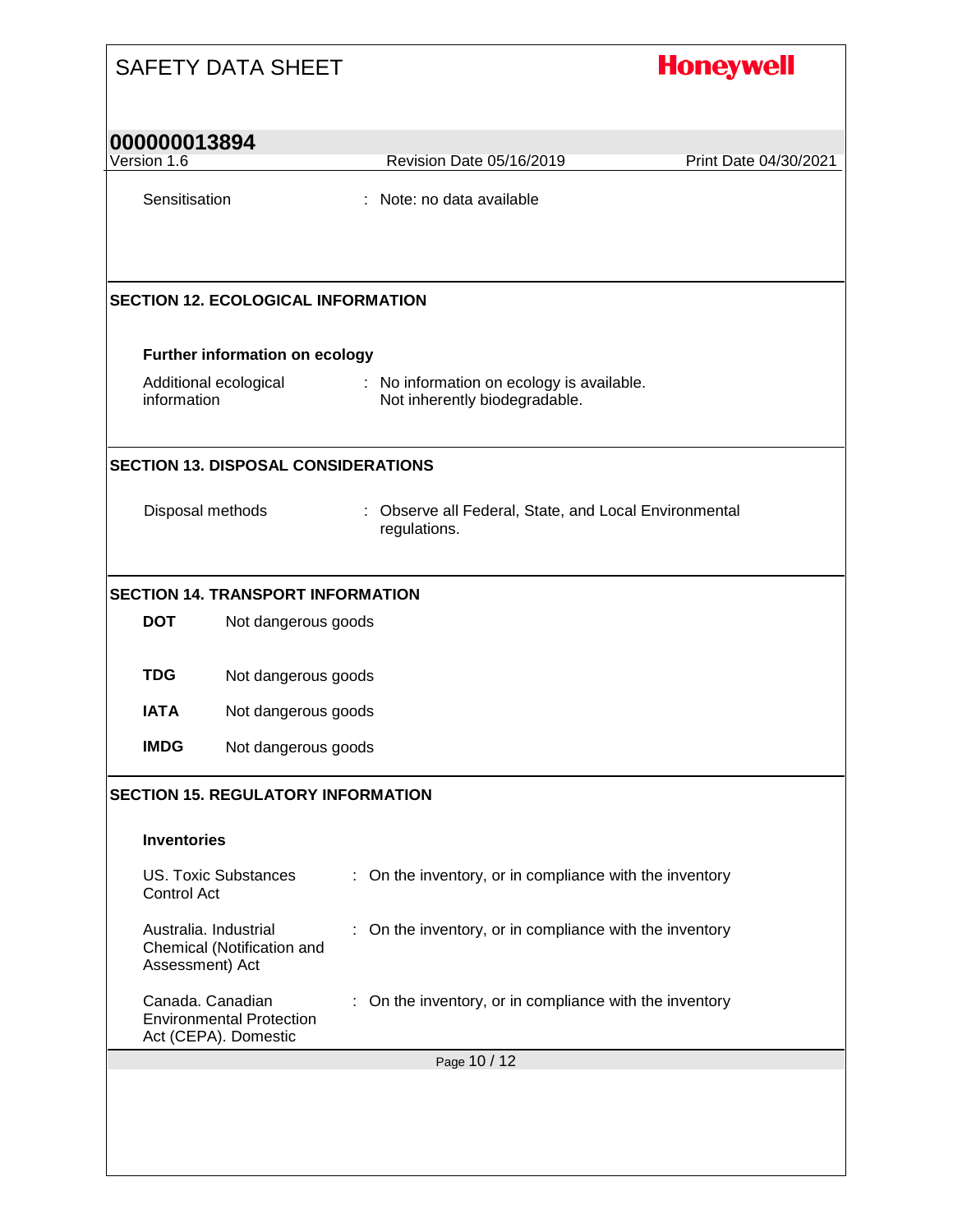|                             | <b>SAFETY DATA SHEET</b>                                                    |  |                                                                            | <b>Honeywell</b>      |
|-----------------------------|-----------------------------------------------------------------------------|--|----------------------------------------------------------------------------|-----------------------|
| 000000013894<br>Version 1.6 |                                                                             |  | Revision Date 05/16/2019                                                   | Print Date 04/30/2021 |
| Sensitisation               |                                                                             |  | : Note: no data available                                                  |                       |
|                             | <b>SECTION 12. ECOLOGICAL INFORMATION</b>                                   |  |                                                                            |                       |
|                             | Further information on ecology                                              |  |                                                                            |                       |
| information                 | Additional ecological                                                       |  | : No information on ecology is available.<br>Not inherently biodegradable. |                       |
|                             | <b>SECTION 13. DISPOSAL CONSIDERATIONS</b>                                  |  |                                                                            |                       |
| Disposal methods            |                                                                             |  | : Observe all Federal, State, and Local Environmental<br>regulations.      |                       |
|                             | <b>SECTION 14. TRANSPORT INFORMATION</b>                                    |  |                                                                            |                       |
| <b>DOT</b>                  | Not dangerous goods                                                         |  |                                                                            |                       |
| <b>TDG</b>                  | Not dangerous goods                                                         |  |                                                                            |                       |
| <b>IATA</b>                 | Not dangerous goods                                                         |  |                                                                            |                       |
| <b>IMDG</b>                 | Not dangerous goods                                                         |  |                                                                            |                       |
|                             | <b>SECTION 15. REGULATORY INFORMATION</b>                                   |  |                                                                            |                       |
| <b>Inventories</b>          |                                                                             |  |                                                                            |                       |
| Control Act                 | <b>US. Toxic Substances</b>                                                 |  | : On the inventory, or in compliance with the inventory                    |                       |
| Assessment) Act             | Australia. Industrial<br>Chemical (Notification and                         |  | On the inventory, or in compliance with the inventory                      |                       |
|                             | Canada. Canadian<br><b>Environmental Protection</b><br>Act (CEPA). Domestic |  | : On the inventory, or in compliance with the inventory                    |                       |
|                             |                                                                             |  | Page 10 / 12                                                               |                       |
|                             |                                                                             |  |                                                                            |                       |
|                             |                                                                             |  |                                                                            |                       |
|                             |                                                                             |  |                                                                            |                       |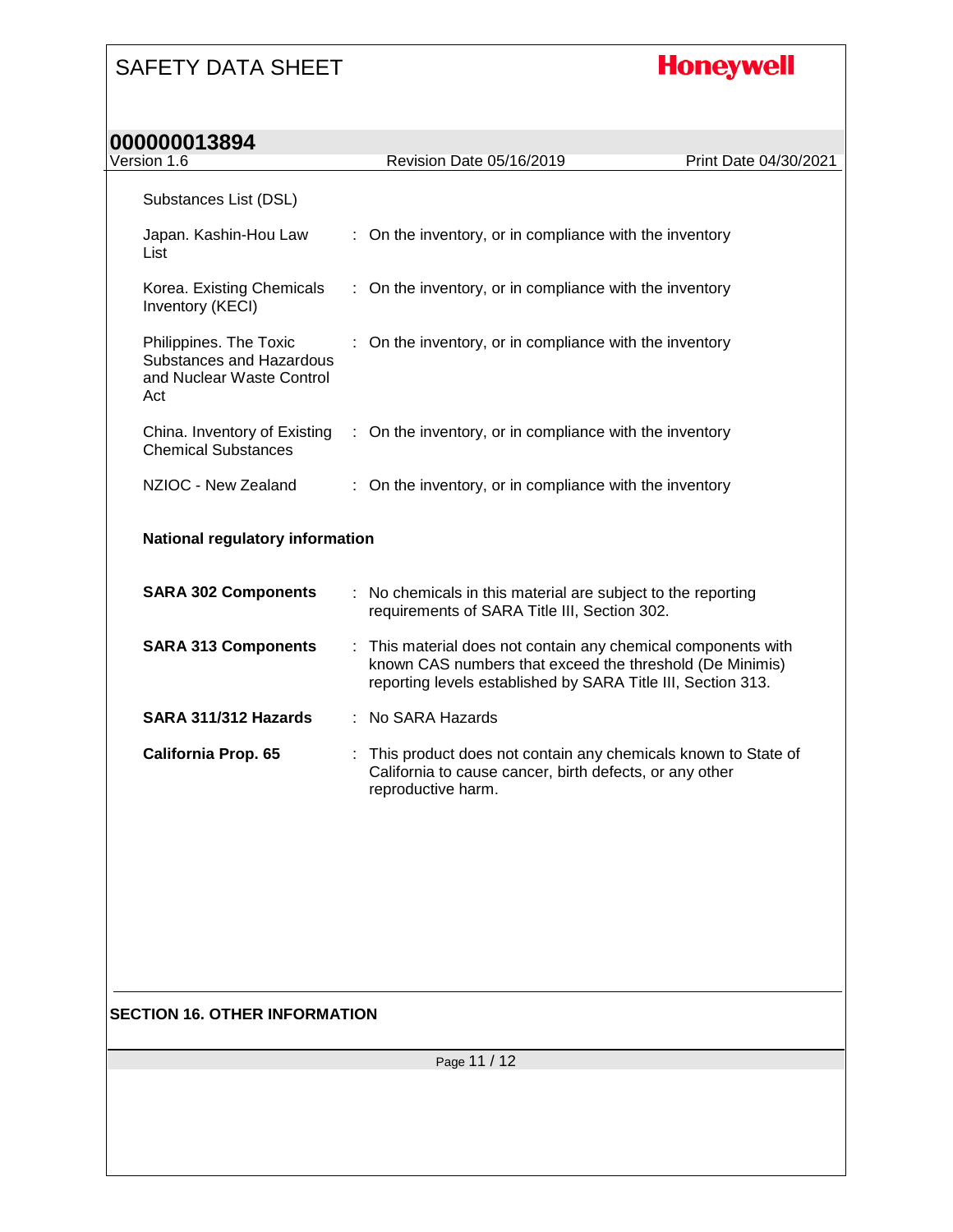# **Honeywell**

| Version 1.6                                                                            |  | Revision Date 05/16/2019                                                                                                                                                                  | Print Date 04/30/2021 |  |
|----------------------------------------------------------------------------------------|--|-------------------------------------------------------------------------------------------------------------------------------------------------------------------------------------------|-----------------------|--|
| Substances List (DSL)                                                                  |  |                                                                                                                                                                                           |                       |  |
| Japan. Kashin-Hou Law<br>List                                                          |  | : On the inventory, or in compliance with the inventory                                                                                                                                   |                       |  |
| Korea. Existing Chemicals<br>Inventory (KECI)                                          |  | : On the inventory, or in compliance with the inventory                                                                                                                                   |                       |  |
| Philippines. The Toxic<br>Substances and Hazardous<br>and Nuclear Waste Control<br>Act |  | : On the inventory, or in compliance with the inventory                                                                                                                                   |                       |  |
| China. Inventory of Existing<br><b>Chemical Substances</b>                             |  | : On the inventory, or in compliance with the inventory                                                                                                                                   |                       |  |
| NZIOC - New Zealand                                                                    |  | On the inventory, or in compliance with the inventory                                                                                                                                     |                       |  |
| National regulatory information                                                        |  |                                                                                                                                                                                           |                       |  |
| <b>SARA 302 Components</b>                                                             |  | : No chemicals in this material are subject to the reporting<br>requirements of SARA Title III, Section 302.                                                                              |                       |  |
| <b>SARA 313 Components</b>                                                             |  | : This material does not contain any chemical components with<br>known CAS numbers that exceed the threshold (De Minimis)<br>reporting levels established by SARA Title III, Section 313. |                       |  |
| SARA 311/312 Hazards                                                                   |  | : No SARA Hazards                                                                                                                                                                         |                       |  |
| <b>California Prop. 65</b>                                                             |  | : This product does not contain any chemicals known to State of<br>California to cause cancer, birth defects, or any other<br>reproductive harm.                                          |                       |  |
|                                                                                        |  |                                                                                                                                                                                           |                       |  |
|                                                                                        |  |                                                                                                                                                                                           |                       |  |
| <b>SECTION 16. OTHER INFORMATION</b>                                                   |  |                                                                                                                                                                                           |                       |  |
| Page 11 / 12                                                                           |  |                                                                                                                                                                                           |                       |  |
|                                                                                        |  |                                                                                                                                                                                           |                       |  |